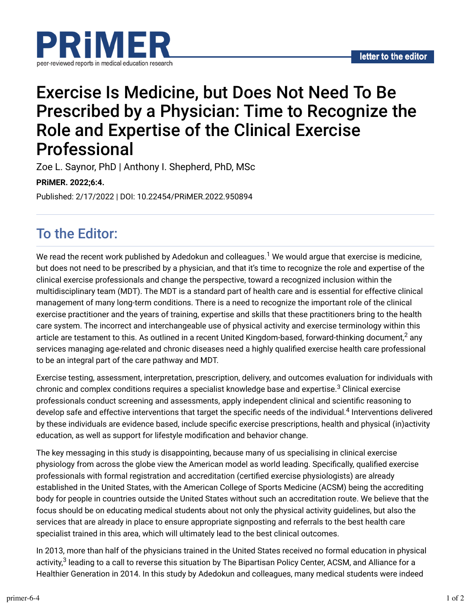

# Exercise Is Medicine, but Does Not Need To Be Prescribed by a Physician: Time to Recognize the Role and Expertise of the Clinical Exercise Professional

Zoe L. Saynor, PhD | Anthony I. Shepherd, PhD, MSc

#### **PRiMER. 2022;6:4.**

Published: 2/17/2022 | DOI: 10.22454/PRiMER.2022.950894

# To the Editor:

We read the recent work published by Adedokun and colleagues. $^1$  We would argue that exercise is medicine, but does not need to be prescribed by a physician, and that it's time to recognize the role and expertise of the clinical exercise professionals and change the perspective, toward a recognized inclusion within the multidisciplinary team (MDT). The MDT is a standard part of health care and is essential for effective clinical management of many long-term conditions. There is a need to recognize the important role of the clinical exercise practitioner and the years of training, expertise and skills that these practitioners bring to the health care system. The incorrect and interchangeable use of physical activity and exercise terminology within this article are testament to this. As outlined in a recent United Kingdom-based, forward-thinking document, $^2$  any services managing age-related and chronic diseases need a highly qualified exercise health care professional to be an integral part of the care pathway and MDT.

Exercise testing, assessment, interpretation, prescription, delivery, and outcomes evaluation for individuals with chronic and complex conditions requires a specialist knowledge base and expertise. $^3$  Clinical exercise professionals conduct screening and assessments, apply independent clinical and scientific reasoning to develop safe and effective interventions that target the specific needs of the individual.<sup>4</sup> Interventions delivered by these individuals are evidence based, include specific exercise prescriptions, health and physical (in)activity education, as well as support for lifestyle modification and behavior change.

The key messaging in this study is disappointing, because many of us specialising in clinical exercise physiology from across the globe view the American model as world leading. Specifically, qualified exercise professionals with formal registration and accreditation (certified exercise physiologists) are already established in the United States, with the American College of Sports Medicine (ACSM) being the accrediting body for people in countries outside the United States without such an accreditation route. We believe that the focus should be on educating medical students about not only the physical activity guidelines, but also the services that are already in place to ensure appropriate signposting and referrals to the best health care specialist trained in this area, which will ultimately lead to the best clinical outcomes.

In 2013, more than half of the physicians trained in the United States received no formal education in physical activity,<sup>3</sup> leading to a call to reverse this situation by The Bipartisan Policy Center, ACSM, and Alliance for a Healthier Generation in 2014. In this study by Adedokun and colleagues, many medical students were indeed